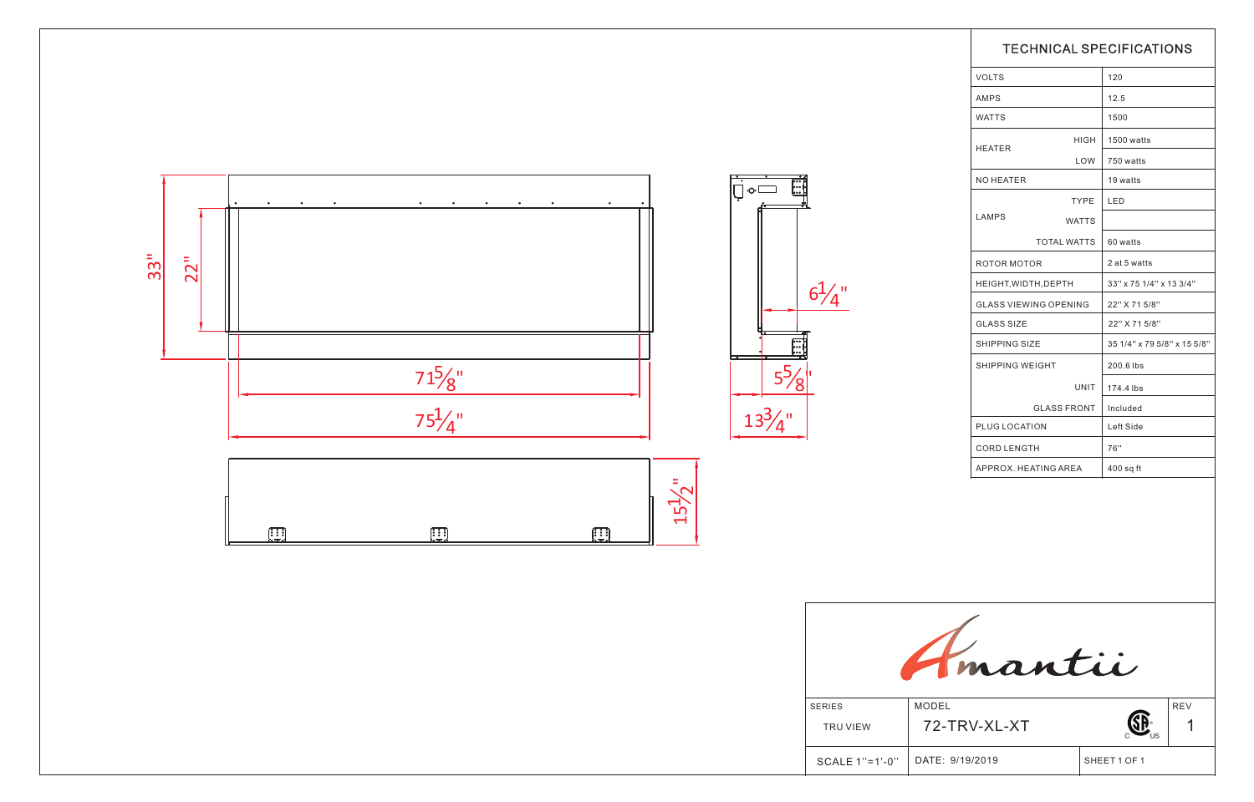|                                                   | <b>TECHNICAL SPECIFICATIONS</b> |                              |                             |                         |  |
|---------------------------------------------------|---------------------------------|------------------------------|-----------------------------|-------------------------|--|
|                                                   | <b>VOLTS</b>                    |                              | 120                         |                         |  |
|                                                   | AMPS                            |                              | 12.5                        |                         |  |
|                                                   | <b>WATTS</b>                    |                              | 1500                        |                         |  |
| ׀<br>׀׀ׇֺֺֺׅׅׅׅׅׅׅ֚֜֝֓֕֝֘֓֕֘֝֘֝֓֓֕֝֬<br>׀֛֪ׅ֘֬֘֬֘ |                                 | HIGH                         | 1500 watts                  |                         |  |
|                                                   | <b>HEATER</b>                   | LOW                          | 750 watts                   |                         |  |
|                                                   | NO HEATER                       |                              | 19 watts                    |                         |  |
|                                                   |                                 | TYPE                         | LED                         |                         |  |
|                                                   | LAMPS                           | <b>WATTS</b>                 |                             |                         |  |
|                                                   | <b>TOTAL WATTS</b>              |                              | 60 watts                    |                         |  |
|                                                   | ROTOR MOTOR                     |                              | 2 at 5 watts                |                         |  |
|                                                   | HEIGHT, WIDTH, DEPTH            |                              |                             | 33" x 75 1/4" x 13 3/4" |  |
|                                                   |                                 | <b>GLASS VIEWING OPENING</b> |                             | 22" X 71 5/8"           |  |
|                                                   | <b>GLASS SIZE</b>               |                              | 22" X 71 5/8"               |                         |  |
| $\mathbf{I}$                                      | <b>SHIPPING SIZE</b>            |                              | 35 1/4" x 79 5/8" x 15 5/8" |                         |  |
| h                                                 | SHIPPING WEIGHT                 |                              | 200.6 lbs                   |                         |  |
|                                                   |                                 | UNIT                         | 174.4 lbs                   |                         |  |
|                                                   | <b>GLASS FRONT</b>              |                              | Included                    |                         |  |
|                                                   | PLUG LOCATION                   |                              | Left Side                   |                         |  |
|                                                   | <b>CORD LENGTH</b>              |                              | 76"                         |                         |  |
|                                                   | APPROX. HEATING AREA            |                              | $400$ sq ft                 |                         |  |
|                                                   |                                 |                              |                             |                         |  |
|                                                   | mantii                          |                              |                             |                         |  |
| <b>SERIES</b>                                     | <b>MODEL</b>                    |                              |                             | <b>REV</b>              |  |
| TRU VIEW                                          | 72-TRV-XL-XT                    |                              |                             |                         |  |
| SCALE 1"=1'-0"                                    | DATE: 9/19/2019                 |                              | SHEET 1 OF 1                |                         |  |

|              |                              |                    | <b>TECHNICAL SPECIFICATIONS</b> |
|--------------|------------------------------|--------------------|---------------------------------|
|              | <b>VOLTS</b>                 |                    | 120                             |
|              | AMPS                         |                    | 12.5                            |
|              | <b>WATTS</b>                 |                    | 1500                            |
|              |                              | <b>HIGH</b>        | 1500 watts                      |
|              | HEATER                       | LOW                | 750 watts                       |
|              | NO HEATER                    |                    | 19 watts                        |
|              |                              | <b>TYPE</b>        | <b>LED</b>                      |
|              | LAMPS                        | <b>WATTS</b>       |                                 |
|              |                              | <b>TOTAL WATTS</b> | 60 watts                        |
|              | ROTOR MOTOR                  |                    | 2 at 5 watts                    |
| ∕ ॥          | HEIGHT, WIDTH, DEPTH         |                    | 33" x 75 1/4" x 13 3/4"         |
| 4            | <b>GLASS VIEWING OPENING</b> |                    | 22" X 71 5/8"                   |
|              | <b>GLASS SIZE</b>            |                    | 22" X 71 5/8"                   |
|              | <b>SHIPPING SIZE</b>         |                    | 35 1/4" x 79 5/8" x 15 5/8"     |
|              | SHIPPING WEIGHT              |                    | 200.6 lbs                       |
|              |                              | UNIT               | 174.4 lbs                       |
|              |                              | <b>GLASS FRONT</b> | Included                        |
|              | PLUG LOCATION                |                    | Left Side                       |
|              | <b>CORD LENGTH</b>           |                    | 76"                             |
|              | APPROX. HEATING AREA         |                    | $400$ sq ft                     |
|              |                              |                    |                                 |
|              | mantii                       |                    |                                 |
| ES           | <b>MODEL</b>                 |                    | <b>REV</b>                      |
| RU VIEW      | 72-TRV-XL-XT                 |                    | 1                               |
| ALE 1"=1'-0" | DATE: 9/19/2019              |                    | SHEET 1 OF 1                    |